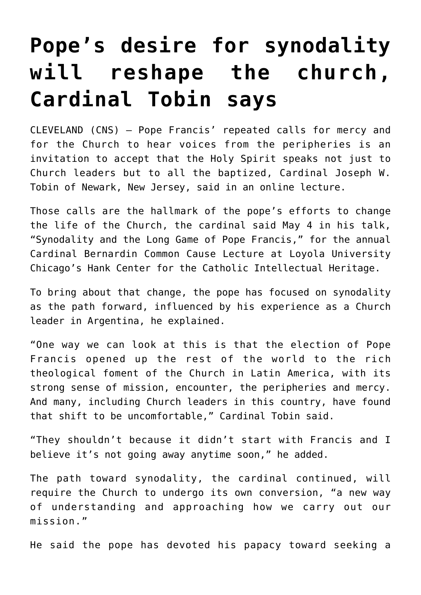## **[Pope's desire for synodality](https://www.osvnews.com/2021/05/06/popes-desire-for-synodality-will-reshape-the-church-cardinal-tobin-says/) [will reshape the church,](https://www.osvnews.com/2021/05/06/popes-desire-for-synodality-will-reshape-the-church-cardinal-tobin-says/) [Cardinal Tobin says](https://www.osvnews.com/2021/05/06/popes-desire-for-synodality-will-reshape-the-church-cardinal-tobin-says/)**

CLEVELAND (CNS) — Pope Francis' repeated calls for mercy and for the Church to hear voices from the peripheries is an invitation to accept that the Holy Spirit speaks not just to Church leaders but to all the baptized, Cardinal Joseph W. Tobin of Newark, New Jersey, said in an online lecture.

Those calls are the hallmark of the pope's efforts to change the life of the Church, the cardinal said May 4 in his talk, "Synodality and the Long Game of Pope Francis," for the annual Cardinal Bernardin Common Cause Lecture at Loyola University Chicago's Hank Center for the Catholic Intellectual Heritage.

To bring about that change, the pope has focused on synodality as the path forward, influenced by his experience as a Church leader in Argentina, he explained.

"One way we can look at this is that the election of Pope Francis opened up the rest of the world to the rich theological foment of the Church in Latin America, with its strong sense of mission, encounter, the peripheries and mercy. And many, including Church leaders in this country, have found that shift to be uncomfortable," Cardinal Tobin said.

"They shouldn't because it didn't start with Francis and I believe it's not going away anytime soon," he added.

The path toward synodality, the cardinal continued, will require the Church to undergo its own conversion, "a new way of understanding and approaching how we carry out our mission."

He said the pope has devoted his papacy toward seeking a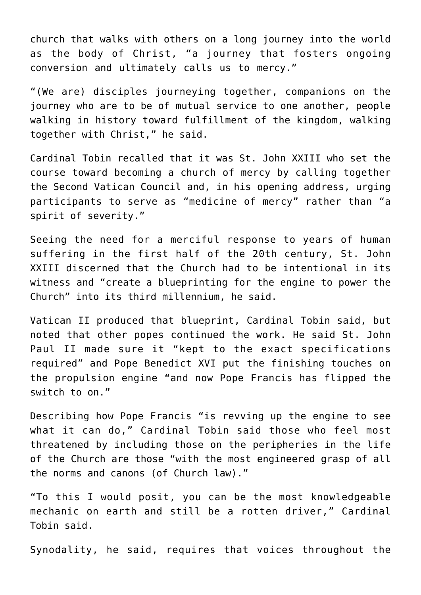church that walks with others on a long journey into the world as the body of Christ, "a journey that fosters ongoing conversion and ultimately calls us to mercy."

"(We are) disciples journeying together, companions on the journey who are to be of mutual service to one another, people walking in history toward fulfillment of the kingdom, walking together with Christ," he said.

Cardinal Tobin recalled that it was St. John XXIII who set the course toward becoming a church of mercy by calling together the Second Vatican Council and, in his opening address, urging participants to serve as "medicine of mercy" rather than "a spirit of severity."

Seeing the need for a merciful response to years of human suffering in the first half of the 20th century, St. John XXIII discerned that the Church had to be intentional in its witness and "create a blueprinting for the engine to power the Church" into its third millennium, he said.

Vatican II produced that blueprint, Cardinal Tobin said, but noted that other popes continued the work. He said St. John Paul II made sure it "kept to the exact specifications required" and Pope Benedict XVI put the finishing touches on the propulsion engine "and now Pope Francis has flipped the switch to on."

Describing how Pope Francis "is revving up the engine to see what it can do," Cardinal Tobin said those who feel most threatened by including those on the peripheries in the life of the Church are those "with the most engineered grasp of all the norms and canons (of Church law)."

"To this I would posit, you can be the most knowledgeable mechanic on earth and still be a rotten driver," Cardinal Tobin said.

Synodality, he said, requires that voices throughout the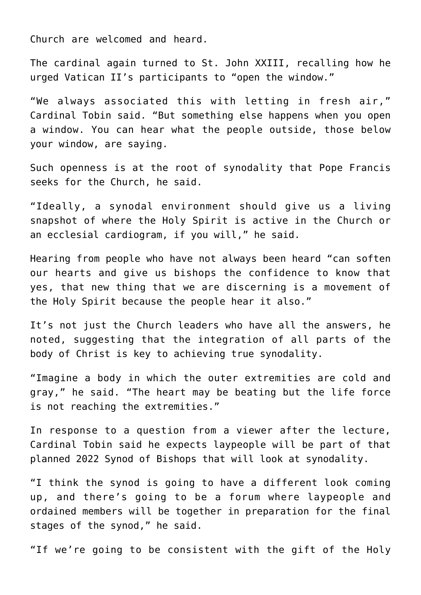Church are welcomed and heard.

The cardinal again turned to St. John XXIII, recalling how he urged Vatican II's participants to "open the window."

"We always associated this with letting in fresh air," Cardinal Tobin said. "But something else happens when you open a window. You can hear what the people outside, those below your window, are saying.

Such openness is at the root of synodality that Pope Francis seeks for the Church, he said.

"Ideally, a synodal environment should give us a living snapshot of where the Holy Spirit is active in the Church or an ecclesial cardiogram, if you will," he said.

Hearing from people who have not always been heard "can soften our hearts and give us bishops the confidence to know that yes, that new thing that we are discerning is a movement of the Holy Spirit because the people hear it also."

It's not just the Church leaders who have all the answers, he noted, suggesting that the integration of all parts of the body of Christ is key to achieving true synodality.

"Imagine a body in which the outer extremities are cold and gray," he said. "The heart may be beating but the life force is not reaching the extremities."

In response to a question from a viewer after the lecture, Cardinal Tobin said he expects laypeople will be part of that planned 2022 Synod of Bishops that will look at synodality.

"I think the synod is going to have a different look coming up, and there's going to be a forum where laypeople and ordained members will be together in preparation for the final stages of the synod," he said.

"If we're going to be consistent with the gift of the Holy